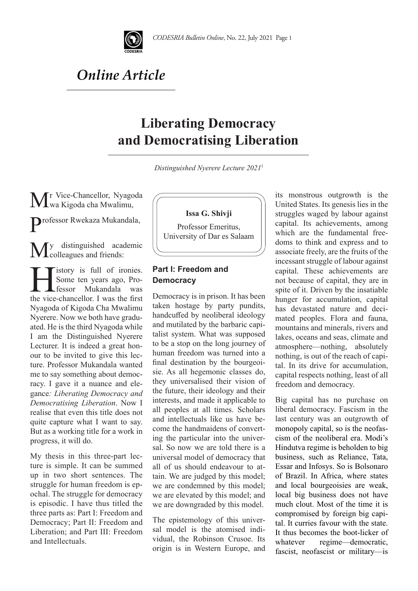

# *Online Article*

## **Liberating Democracy and Democratising Liberation**

*Distinguished Nyerere Lecture 2021*1

Mr Vice-Chancellor, Nyagoda wa Kigoda cha Mwalimu,

Professor Rwekaza Mukandala,

My distinguished academic<br>Colleagues and friends:

istory is full of ironies.<br>Some ten years ago, Pro-<br>fessor Mukandala was Some ten years ago, Pro-Mukandala the vice-chancellor. I was the first Nyagoda of Kigoda Cha Mwalimu Nyerere. Now we both have graduated. He is the third Nyagoda while I am the Distinguished Nyerere Lecturer. It is indeed a great honour to be invited to give this lecture. Professor Mukandala wanted me to say something about democracy. I gave it a nuance and elegance*: Liberating Democracy and Democratising Liberation*. Now I realise that even this title does not quite capture what I want to say. But as a working title for a work in progress, it will do.

My thesis in this three-part lecture is simple. It can be summed up in two short sentences. The struggle for human freedom is epochal. The struggle for democracy is episodic. I have thus titled the three parts as: Part I: Freedom and Democracy; Part II: Freedom and Liberation; and Part III: Freedom and Intellectuals.



Professor Emeritus, University of Dar es Salaam

### **Part I: Freedom and Democracy**

Democracy is in prison. It has been taken hostage by party pundits, handcuffed by neoliberal ideology and mutilated by the barbaric capitalist system. What was supposed to be a stop on the long journey of human freedom was turned into a final destination by the bourgeoisie. As all hegemonic classes do, they universalised their vision of the future, their ideology and their interests, and made it applicable to all peoples at all times. Scholars and intellectuals like us have become the handmaidens of converting the particular into the universal. So now we are told there is a universal model of democracy that all of us should endeavour to attain. We are judged by this model; we are condemned by this model; we are elevated by this model; and we are downgraded by this model.

The epistemology of this universal model is the atomised individual, the Robinson Crusoe. Its origin is in Western Europe, and its monstrous outgrowth is the United States. Its genesis lies in the struggles waged by labour against capital. Its achievements, among which are the fundamental freedoms to think and express and to associate freely, are the fruits of the incessant struggle of labour against capital. These achievements are not because of capital, they are in spite of it. Driven by the insatiable hunger for accumulation, capital has devastated nature and decimated peoples. Flora and fauna, mountains and minerals, rivers and lakes, oceans and seas, climate and atmosphere—nothing, absolutely nothing, is out of the reach of capital. In its drive for accumulation, capital respects nothing, least of all freedom and democracy.

Big capital has no purchase on liberal democracy. Fascism in the last century was an outgrowth of monopoly capital, so is the neofascism of the neoliberal era. Modi's Hindutva regime is beholden to big business, such as Reliance, Tata, Essar and Infosys. So is Bolsonaro of Brazil. In Africa, where states and local bourgeoisies are weak, local big business does not have much clout. Most of the time it is compromised by foreign big capital. It curries favour with the state. It thus becomes the boot-licker of whatever regime—democratic, fascist, neofascist or military—is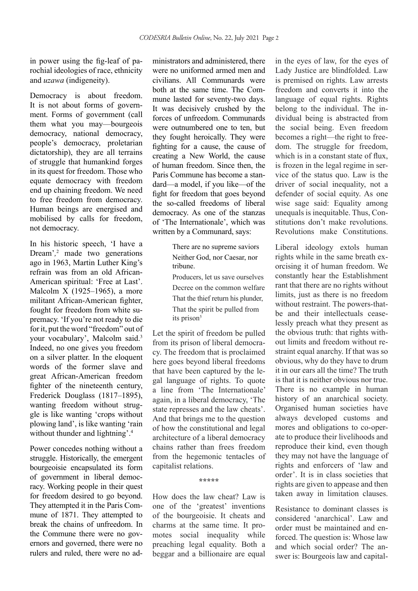in power using the fig-leaf of parochial ideologies of race, ethnicity and *uzawa* (indigeneity).

Democracy is about freedom. It is not about forms of government. Forms of government (call them what you may—bourgeois democracy, national democracy, people's democracy, proletarian dictatorship), they are all terrains of struggle that humankind forges in its quest for freedom. Those who equate democracy with freedom end up chaining freedom. We need to free freedom from democracy. Human beings are energised and mobilised by calls for freedom, not democracy.

In his historic speech, 'I have a Dream'*,* <sup>2</sup> made two generations ago in 1963, Martin Luther King's refrain was from an old African-American spiritual: 'Free at Last'. Malcolm X (1925–1965), a more militant African-American fighter, fought for freedom from white supremacy. 'If you're not ready to die for it, put the word "freedom" out of your vocabulary', Malcolm said.3 Indeed, no one gives you freedom on a silver platter. In the eloquent words of the former slave and great African-American freedom fighter of the nineteenth century, Frederick Douglass (1817–1895), wanting freedom without struggle is like wanting 'crops without plowing land', is like wanting 'rain without thunder and lightning'.<sup>4</sup>

Power concedes nothing without a struggle. Historically, the emergent bourgeoisie encapsulated its form of government in liberal democracy. Working people in their quest for freedom desired to go beyond. They attempted it in the Paris Commune of 1871. They attempted to break the chains of unfreedom. In the Commune there were no governors and governed, there were no rulers and ruled, there were no ad-

ministrators and administered, there were no uniformed armed men and civilians. All Communards were both at the same time. The Commune lasted for seventy-two days. It was decisively crushed by the forces of unfreedom. Communards were outnumbered one to ten, but they fought heroically. They were fighting for a cause, the cause of creating a New World, the cause of human freedom. Since then, the Paris Commune has become a standard—a model, if you like—of the fight for freedom that goes beyond the so-called freedoms of liberal democracy. As one of the stanzas of 'The Internationale', which was written by a Communard, says:

> There are no supreme saviors Neither God, nor Caesar, nor tribune.

Producers, let us save ourselves Decree on the common welfare That the thief return his plunder, That the spirit be pulled from its prison<sup>5</sup>

Let the spirit of freedom be pulled from its prison of liberal democracy. The freedom that is proclaimed here goes beyond liberal freedoms that have been captured by the legal language of rights. To quote a line from 'The Internationale' again, in a liberal democracy, 'The state represses and the law cheats'. And that brings me to the question of how the constitutional and legal architecture of a liberal democracy chains rather than frees freedom from the hegemonic tentacles of capitalist relations.

**\*\*\*\*\***

How does the law cheat? Law is one of the 'greatest' inventions of the bourgeoisie. It cheats and charms at the same time. It promotes social inequality while preaching legal equality. Both a beggar and a billionaire are equal in the eyes of law, for the eyes of Lady Justice are blindfolded. Law is premised on rights. Law arrests freedom and converts it into the language of equal rights. Rights belong to the individual. The individual being is abstracted from the social being. Even freedom becomes a right—the right to freedom. The struggle for freedom, which is in a constant state of flux. is frozen in the legal regime in service of the status quo. Law is the driver of social inequality, not a defender of social equity. As one wise sage said: Equality among unequals is inequitable. Thus, Constitutions don't make revolutions. Revolutions make Constitutions.

Liberal ideology extols human rights while in the same breath exorcising it of human freedom. We constantly hear the Establishment rant that there are no rights without limits, just as there is no freedom without restraint. The powers-thatbe and their intellectuals ceaselessly preach what they present as the obvious truth: that rights without limits and freedom without restraint equal anarchy. If that was so obvious, why do they have to drum it in our ears all the time? The truth is that it is neither obvious nor true. There is no example in human history of an anarchical society. Organised human societies have always developed customs and mores and obligations to co-operate to produce their livelihoods and reproduce their kind, even though they may not have the language of rights and enforcers of 'law and order'. It is in class societies that rights are given to appease and then taken away in limitation clauses.

Resistance to dominant classes is considered 'anarchical'. Law and order must be maintained and enforced. The question is: Whose law and which social order? The answer is: Bourgeois law and capital-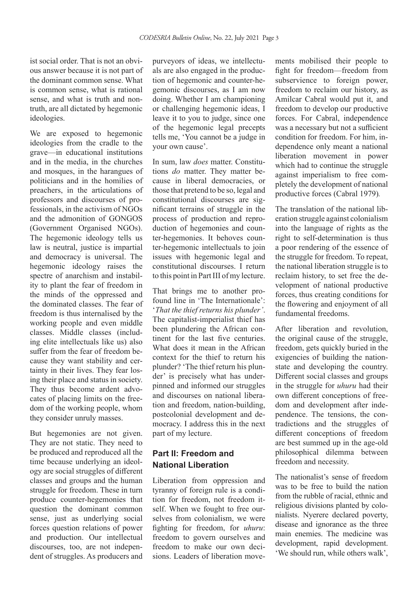ist social order. That is not an obvious answer because it is not part of the dominant common sense. What is common sense, what is rational sense, and what is truth and nontruth, are all dictated by hegemonic ideologies.

We are exposed to hegemonic ideologies from the cradle to the grave—in educational institutions and in the media, in the churches and mosques, in the harangues of politicians and in the homilies of preachers, in the articulations of professors and discourses of professionals, in the activism of NGOs and the admonition of GONGOS (Government Organised NGOs). The hegemonic ideology tells us law is neutral, justice is impartial and democracy is universal. The hegemonic ideology raises the spectre of anarchism and instability to plant the fear of freedom in the minds of the oppressed and the dominated classes. The fear of freedom is thus internalised by the working people and even middle classes. Middle classes (including elite intellectuals like us) also suffer from the fear of freedom because they want stability and certainty in their lives. They fear losing their place and status in society. They thus become ardent advocates of placing limits on the freedom of the working people, whom they consider unruly masses.

But hegemonies are not given. They are not static. They need to be produced and reproduced all the time because underlying an ideology are social struggles of different classes and groups and the human struggle for freedom. These in turn produce counter-hegemonies that question the dominant common sense, just as underlying social forces question relations of power and production. Our intellectual discourses, too, are not independent of struggles. As producers and

purveyors of ideas, we intellectuals are also engaged in the production of hegemonic and counter-hegemonic discourses, as I am now doing. Whether I am championing or challenging hegemonic ideas, I leave it to you to judge, since one of the hegemonic legal precepts tells me, 'You cannot be a judge in your own cause'.

In sum, law *does* matter. Constitutions *do* matter. They matter because in liberal democracies, or those that pretend to be so, legal and constitutional discourses are significant terrains of struggle in the process of production and reproduction of hegemonies and counter-hegemonies. It behoves counter-hegemonic intellectuals to join issues with hegemonic legal and constitutional discourses. I return to this point in Part III of my lecture.

That brings me to another profound line in 'The Internationale': '*That the thief returns his plunder'*. The capitalist-imperialist thief has been plundering the African continent for the last five centuries. What does it mean in the African context for the thief to return his plunder? 'The thief return his plunder' is precisely what has underpinned and informed our struggles and discourses on national liberation and freedom, nation-building, postcolonial development and democracy. I address this in the next part of my lecture.

### **Part II: Freedom and National Liberation**

Liberation from oppression and tyranny of foreign rule is a condition for freedom, not freedom itself. When we fought to free ourselves from colonialism, we were fighting for freedom, for *uhuru*: freedom to govern ourselves and freedom to make our own decisions. Leaders of liberation movements mobilised their people to fight for freedom—freedom from subservience to foreign power, freedom to reclaim our history, as Amilcar Cabral would put it, and freedom to develop our productive forces. For Cabral, independence was a necessary but not a sufficient condition for freedom. For him, independence only meant a national liberation movement in power which had to continue the struggle against imperialism to free completely the development of national productive forces (Cabral 1979)*.*

The translation of the national liberation struggle against colonialism into the language of rights as the right to self-determination is thus a poor rendering of the essence of the struggle for freedom. To repeat, the national liberation struggle is to reclaim history, to set free the development of national productive forces, thus creating conditions for the flowering and enjoyment of all fundamental freedoms.

After liberation and revolution, the original cause of the struggle, freedom, gets quickly buried in the exigencies of building the nationstate and developing the country. Different social classes and groups in the struggle for *uhuru* had their own different conceptions of freedom and development after independence. The tensions, the contradictions and the struggles of different conceptions of freedom are best summed up in the age-old philosophical dilemma between freedom and necessity.

The nationalist's sense of freedom was to be free to build the nation from the rubble of racial, ethnic and religious divisions planted by colonialists. Nyerere declared poverty, disease and ignorance as the three main enemies. The medicine was development, rapid development. 'We should run, while others walk',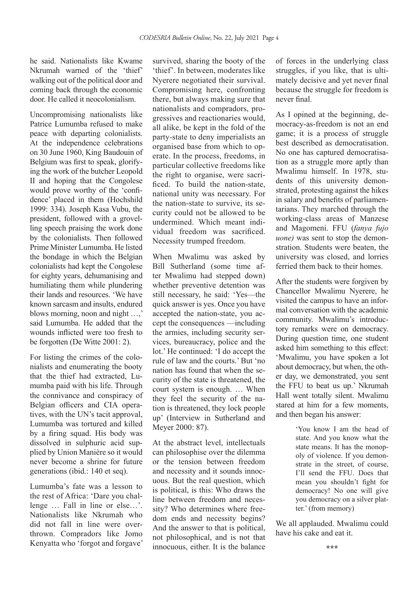he said. Nationalists like Kwame Nkrumah warned of the 'thief' walking out of the political door and coming back through the economic door. He called it neocolonialism.

Uncompromising nationalists like Patrice Lumumba refused to make peace with departing colonialists. At the independence celebrations on 30 June 1960, King Baudouin of Belgium was first to speak, glorifying the work of the butcher Leopold II and hoping that the Congolese would prove worthy of the 'confidence' placed in them (Hochshild 1999: 334). Joseph Kasa Vubu, the president, followed with a grovelling speech praising the work done by the colonialists. Then followed Prime Minister Lumumba. He listed the bondage in which the Belgian colonialists had kept the Congolese for eighty years, dehumanising and humiliating them while plundering their lands and resources. 'We have known sarcasm and insults, endured blows morning, noon and night …,' said Lumumba. He added that the wounds inflicted were too fresh to be forgotten (De Witte 2001: 2).

For listing the crimes of the colonialists and enumerating the booty that the thief had extracted, Lumumba paid with his life. Through the connivance and conspiracy of Belgian officers and CIA operatives, with the UN's tacit approval, Lumumba was tortured and killed by a firing squad. His body was dissolved in sulphuric acid supplied by Union Manière so it would never become a shrine for future generations (ibid.: 140 et seq).

Lumumba's fate was a lesson to the rest of Africa: 'Dare you challenge … Fall in line or else…'. Nationalists like Nkrumah who did not fall in line were overthrown. Compradors like Jomo Kenyatta who 'forgot and forgave'

survived, sharing the booty of the 'thief'. In between, moderates like Nyerere negotiated their survival. Compromising here, confronting there, but always making sure that nationalists and compradors, progressives and reactionaries would, all alike, be kept in the fold of the party-state to deny imperialists an organised base from which to operate. In the process, freedoms, in particular collective freedoms like the right to organise, were sacrificed. To build the nation-state, national unity was necessary. For the nation-state to survive, its security could not be allowed to be undermined. Which meant individual freedom was sacrificed. Necessity trumped freedom.

When Mwalimu was asked by Bill Sutherland (some time after Mwalimu had stepped down) whether preventive detention was still necessary, he said: 'Yes—the quick answer is yes. Once you have accepted the nation-state, you accept the consequences —including the armies, including security services, bureaucracy, police and the lot.' He continued: 'I do accept the rule of law and the courts.' But 'no nation has found that when the security of the state is threatened, the court system is enough. … When they feel the security of the nation is threatened, they lock people up' (Interview in Sutherland and Meyer 2000: 87).

At the abstract level, intellectuals can philosophise over the dilemma or the tension between freedom and necessity and it sounds innocuous. But the real question, which is political, is this: Who draws the line between freedom and necessity? Who determines where freedom ends and necessity begins? And the answer to that is political, not philosophical, and is not that innocuous, either. It is the balance

of forces in the underlying class struggles, if you like, that is ultimately decisive and yet never final because the struggle for freedom is never final.

As I opined at the beginning, democracy-as-freedom is not an end game; it is a process of struggle best described as democratisation. No one has captured democratisation as a struggle more aptly than Mwalimu himself. In 1978, students of this university demonstrated, protesting against the hikes in salary and benefits of parliamentarians. They marched through the working-class areas of Manzese and Magomeni. FFU (*fanya fujo uone)* was sent to stop the demonstration. Students were beaten, the university was closed, and lorries ferried them back to their homes.

After the students were forgiven by Chancellor Mwalimu Nyerere, he visited the campus to have an informal conversation with the academic community. Mwalimu's introductory remarks were on democracy. During question time, one student asked him something to this effect: 'Mwalimu, you have spoken a lot about democracy, but when, the other day, we demonstrated, you sent the FFU to beat us up.' Nkrumah Hall went totally silent. Mwalimu stared at him for a few moments, and then began his answer:

> 'You know I am the head of state. And you know what the state means. It has the monopoly of violence. If you demonstrate in the street, of course, I'll send the FFU. Does that mean you shouldn't fight for democracy! No one will give you democracy on a silver platter.' (from memory)

We all applauded. Mwalimu could have his cake and eat it.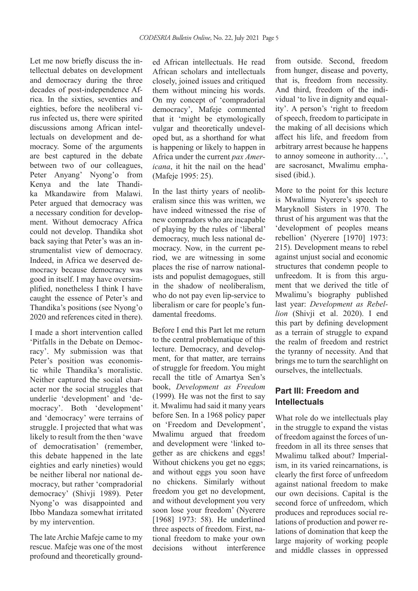Let me now briefly discuss the intellectual debates on development and democracy during the three decades of post-independence Africa. In the sixties, seventies and eighties, before the neoliberal virus infected us, there were spirited discussions among African intellectuals on development and democracy. Some of the arguments are best captured in the debate between two of our colleagues, Peter Anyang' Nyong'o from Kenya and the late Thandika Mkandawire from Malawi. Peter argued that democracy was a necessary condition for development. Without democracy Africa could not develop. Thandika shot back saying that Peter's was an instrumentalist view of democracy. Indeed, in Africa we deserved democracy because democracy was good in itself. I may have oversimplified, nonetheless I think I have caught the essence of Peter's and Thandika's positions (see Nyong'o 2020 and references cited in there).

I made a short intervention called 'Pitfalls in the Debate on Democracy'. My submission was that Peter's position was economistic while Thandika's moralistic. Neither captured the social character nor the social struggles that underlie 'development' and 'democracy'. Both 'development' and 'democracy' were terrains of struggle. I projected that what was likely to result from the then 'wave of democratisation' (remember, this debate happened in the late eighties and early nineties) would be neither liberal nor national democracy, but rather 'compradorial democracy' (Shivji 1989). Peter Nyong'o was disappointed and Ibbo Mandaza somewhat irritated by my intervention.

The late Archie Mafeje came to my rescue. Mafeje was one of the most profound and theoretically ground-

ed African intellectuals. He read African scholars and intellectuals closely, joined issues and critiqued them without mincing his words. On my concept of 'compradorial democracy', Mafeje commented that it 'might be etymologically vulgar and theoretically undeveloped but, as a shorthand for what is happening or likely to happen in Africa under the current *pax Americana*, it hit the nail on the head' (Mafeje 1995: 25).

In the last thirty years of neoliberalism since this was written, we have indeed witnessed the rise of new compradors who are incapable of playing by the rules of 'liberal' democracy, much less national democracy. Now, in the current period, we are witnessing in some places the rise of narrow nationalists and populist demagogues, still in the shadow of neoliberalism, who do not pay even lip-service to liberalism or care for people's fundamental freedoms.

Before I end this Part let me return to the central problematique of this lecture. Democracy, and development, for that matter, are terrains of struggle for freedom. You might recall the title of Amartya Sen's book, *Development as Freedom*  (1999)*.* He was not the first to say it. Mwalimu had said it many years before Sen. In a 1968 policy paper on 'Freedom and Development', Mwalimu argued that freedom and development were 'linked together as are chickens and eggs! Without chickens you get no eggs; and without eggs you soon have no chickens. Similarly without freedom you get no development, and without development you very soon lose your freedom' (Nyerere [1968] 1973: 58). He underlined three aspects of freedom. First, national freedom to make your own decisions without interference from outside. Second, freedom from hunger, disease and poverty, that is, freedom from necessity. And third, freedom of the individual 'to live in dignity and equality'. A person's 'right to freedom of speech, freedom to participate in the making of all decisions which affect his life, and freedom from arbitrary arrest because he happens to annoy someone in authority…', are sacrosanct, Mwalimu emphasised (ibid.).

More to the point for this lecture is Mwalimu Nyerere's speech to Maryknoll Sisters in 1970. The thrust of his argument was that the 'development of peoples means rebellion' (Nyerere [1970] 1973: 215). Development means to rebel against unjust social and economic structures that condemn people to unfreedom. It is from this argument that we derived the title of Mwalimu's biography published last year: *Development as Rebellion* (Shivji et al. 2020). I end this part by defining development as a terrain of struggle to expand the realm of freedom and restrict the tyranny of necessity. And that brings me to turn the searchlight on ourselves, the intellectuals.

## **Part III: Freedom and Intellectuals**

What role do we intellectuals play in the struggle to expand the vistas of freedom against the forces of unfreedom in all its three senses that Mwalimu talked about? Imperialism, in its varied reincarnations, is clearly the first force of unfreedom against national freedom to make our own decisions. Capital is the second force of unfreedom, which produces and reproduces social relations of production and power relations of domination that keep the large majority of working people and middle classes in oppressed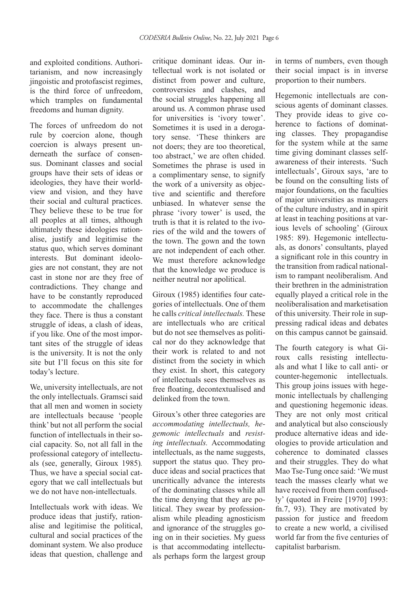and exploited conditions. Authoritarianism, and now increasingly jingoistic and protofascist regimes, is the third force of unfreedom, which tramples on fundamental freedoms and human dignity.

The forces of unfreedom do not rule by coercion alone, though coercion is always present underneath the surface of consensus. Dominant classes and social groups have their sets of ideas or ideologies, they have their worldview and vision, and they have their social and cultural practices. They believe these to be true for all peoples at all times, although ultimately these ideologies rationalise, justify and legitimise the status quo, which serves dominant interests. But dominant ideologies are not constant, they are not cast in stone nor are they free of contradictions. They change and have to be constantly reproduced to accommodate the challenges they face. There is thus a constant struggle of ideas, a clash of ideas, if you like. One of the most important sites of the struggle of ideas is the university. It is not the only site but I'll focus on this site for today's lecture.

We, university intellectuals, are not the only intellectuals. Gramsci said that all men and women in society are intellectuals because 'people think' but not all perform the social function of intellectuals in their social capacity. So, not all fall in the professional category of intellectuals (see, generally, Giroux 1985)*.* Thus, we have a special social category that we call intellectuals but we do not have non-intellectuals.

Intellectuals work with ideas. We produce ideas that justify, rationalise and legitimise the political, cultural and social practices of the dominant system. We also produce ideas that question, challenge and

critique dominant ideas. Our intellectual work is not isolated or distinct from power and culture, controversies and clashes, and the social struggles happening all around us. A common phrase used for universities is 'ivory tower'. Sometimes it is used in a derogatory sense. 'These thinkers are not doers; they are too theoretical, too abstract,' we are often chided. Sometimes the phrase is used in a complimentary sense, to signify the work of a university as objective and scientific and therefore unbiased. In whatever sense the phrase 'ivory tower' is used, the truth is that it is related to the ivories of the wild and the towers of the town. The gown and the town are not independent of each other. We must therefore acknowledge that the knowledge we produce is neither neutral nor apolitical.

Giroux (1985) identifies four categories of intellectuals. One of them he calls *critical intellectuals.* These are intellectuals who are critical but do not see themselves as political nor do they acknowledge that their work is related to and not distinct from the society in which they exist. In short, this category of intellectuals sees themselves as free floating, decontextualised and delinked from the town.

Giroux's other three categories are *accommodating intellectuals, hegemonic intellectuals* and *resisting intellectuals.* Accommodating intellectuals, as the name suggests, support the status quo. They produce ideas and social practices that uncritically advance the interests of the dominating classes while all the time denying that they are political. They swear by professionalism while pleading agnosticism and ignorance of the struggles going on in their societies. My guess is that accommodating intellectuals perhaps form the largest group in terms of numbers, even though their social impact is in inverse proportion to their numbers.

Hegemonic intellectuals are conscious agents of dominant classes. They provide ideas to give coherence to factions of dominating classes. They propagandise for the system while at the same time giving dominant classes selfawareness of their interests. 'Such intellectuals', Giroux says, 'are to be found on the consulting lists of major foundations, on the faculties of major universities as managers of the culture industry, and in spirit at least in teaching positions at various levels of schooling' (Giroux 1985: 89). Hegemonic intellectuals, as donors' consultants, played a significant role in this country in the transition from radical nationalism to rampant neoliberalism. And their brethren in the administration equally played a critical role in the neoliberalisation and marketisation of this university. Their role in suppressing radical ideas and debates on this campus cannot be gainsaid.

The fourth category is what Giroux calls resisting intellectuals and what I like to call anti- or counter-hegemonic intellectuals. This group joins issues with hegemonic intellectuals by challenging and questioning hegemonic ideas. They are not only most critical and analytical but also consciously produce alternative ideas and ideologies to provide articulation and coherence to dominated classes and their struggles. They do what Mao Tse-Tung once said: 'We must teach the masses clearly what we have received from them confusedly' (quoted in Freire [1970] 1993: fn.7, 93). They are motivated by passion for justice and freedom to create a new world, a civilised world far from the five centuries of capitalist barbarism.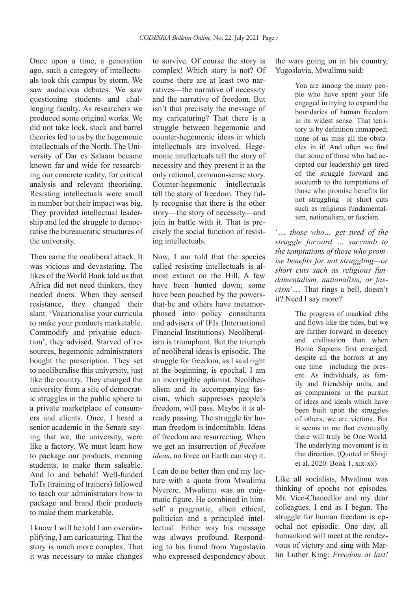Once upon a time, a generation ago, such a category of intellectuals took this campus by storm. We saw audacious debates. We saw questioning students and challenging faculty. As researchers we produced some original works. We did not take lock, stock and barrel theories fed to us by the hegemonic intellectuals of the North. The University of Dar es Salaam became known far and wide for researching our concrete reality, for critical analysis and relevant theorising. Resisting intellectuals were small in number but their impact was big. They provided intellectual leadership and led the struggle to democratise the bureaucratic structures of the university.

Then came the neoliberal attack. It was vicious and devastating. The likes of the World Bank told us that Africa did not need thinkers, they needed doers. When they sensed resistance, they changed their slant. 'Vocationalise your curricula to make your products marketable. Commodify and privatise education', they advised. Starved of resources, hegemonic administrators bought the prescription. They set to neoliberalise this university, just like the country. They changed the university from a site of democratic struggles in the public sphere to a private marketplace of consumers and clients. Once, I heard a senior academic in the Senate saying that we, the university, were like a factory. We must learn how to package our products, meaning students, to make them saleable. And lo and behold! Well-funded ToTs (training of trainers) followed to teach our administrators how to package and brand their products to make them marketable.

I know I will be told I am oversimplifying, I am caricaturing. That the story is much more complex. That it was necessary to make changes to survive. Of course the story is complex! Which story is not? Of course there are at least two narratives—the narrative of necessity and the narrative of freedom. But isn't that precisely the message of my caricaturing? That there is a struggle between hegemonic and counter-hegemonic ideas in which intellectuals are involved. Hegemonic intellectuals tell the story of necessity and they present it as the only rational, common-sense story. Counter-hegemonic intellectuals tell the story of freedom. They fully recognise that there is the other story—the story of necessity—and join in battle with it. That is precisely the social function of resisting intellectuals.

Now, I am told that the species called resisting intellectuals is almost extinct on the Hill. A few have been hunted down; some have been poached by the powersthat-be and others have metamorphosed into policy consultants and advisers of IFIs (International Financial Institutions). Neoliberalism is triumphant. But the triumph of neoliberal ideas is episodic. The struggle for freedom, as I said right at the beginning, is epochal. I am an incorrigible optimist. Neoliberalism and its accompanying fascism, which suppresses people's freedom, will pass. Maybe it is already passing. The struggle for human freedom is indomitable. Ideas of freedom are resurrecting. When we get an insurrection of *freedom ideas*, no force on Earth can stop it.

I can do no better than end my lecture with a quote from Mwalimu Nyerere. Mwalimu was an enigmatic figure. He combined in himself a pragmatic, albeit ethical, politician and a principled intellectual. Either way his message was always profound. Responding to his friend from Yugoslavia who expressed despondency about the wars going on in his country, Yugoslavia, Mwalimu said:

> You are among the many people who have spent your life engaged in trying to expand the boundaries of human freedom in its widest sense. That territory is by definition unmapped; none of us miss all the obstacles in it! And often we find that some of those who had accepted our leadership get tired of the struggle forward and succumb to the temptations of those who promise benefits for not struggling—or short cuts such as religious fundamentalism, nationalism, or fascism.

'… *those who… get tired of the struggle forward … succumb to the temptations of those who promise benefits for not struggling—or short cuts such as religious fundamentalism, nationalism, or fascism*'… That rings a bell, doesn't it? Need I say more?

> The progress of mankind ebbs and flows like the tides, but we are further forward in decency and civilisation than when Homo Sapiens first emerged, despite all the horrors at any one time—including the present. As individuals, as family and friendship units, and as companions in the pursuit of ideas and ideals which have been built upon the struggles of others, we are victims. But it seems to me that eventually there will truly be One World. The underlying movement is in that direction. (Quoted in Shivji et al. 2020: Book 1, xix-xx)

Like all socialists, Mwalimu was thinking of epochs not episodes. Mr. Vice-Chancellor and my dear colleagues, I end as I began. The struggle for human freedom is epochal not episodic. One day, all humankind will meet at the rendezvous of victory and sing with Martin Luther King: *Freedom at last!*